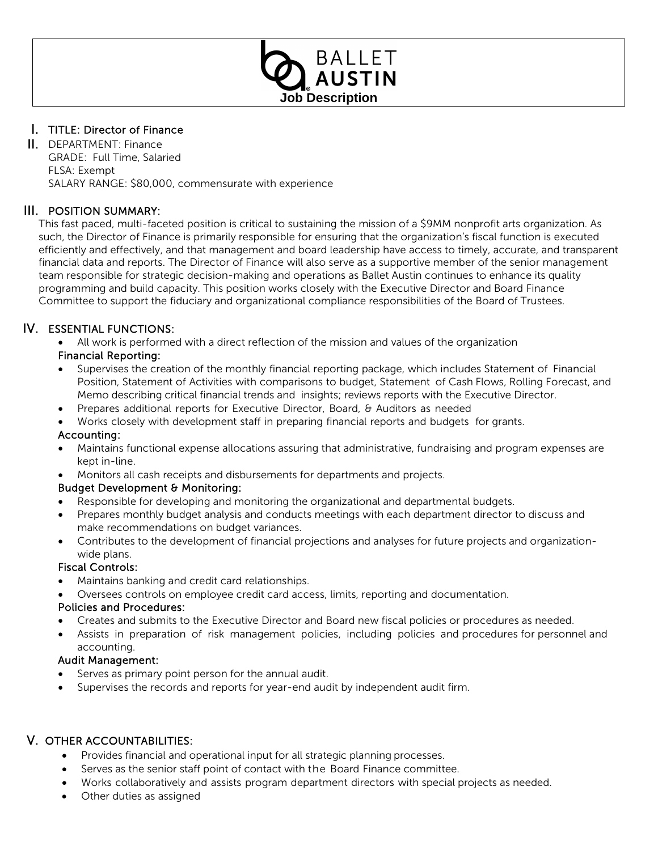

# I. TITLE: Director of Finance

II. DEPARTMENT: Finance GRADE: Full Time, Salaried FLSA: Exempt SALARY RANGE: \$80,000, commensurate with experience

# III. POSITION SUMMARY:

This fast paced, multi-faceted position is critical to sustaining the mission of a \$9MM nonprofit arts organization. As such, the Director of Finance is primarily responsible for ensuring that the organization's fiscal function is executed efficiently and effectively, and that management and board leadership have access to timely, accurate, and transparent financial data and reports. The Director of Finance will also serve as a supportive member of the senior management team responsible for strategic decision-making and operations as Ballet Austin continues to enhance its quality programming and build capacity. This position works closely with the Executive Director and Board Finance Committee to support the fiduciary and organizational compliance responsibilities of the Board of Trustees.

# IV. ESSENTIAL FUNCTIONS:

• All work is performed with a direct reflection of the mission and values of the organization

## Financial Reporting:

- Supervises the creation of the monthly financial reporting package, which includes Statement of Financial Position, Statement of Activities with comparisons to budget, Statement of Cash Flows, Rolling Forecast, and Memo describing critical financial trends and insights; reviews reports with the Executive Director.
- Prepares additional reports for Executive Director, Board, & Auditors as needed
- Works closely with development staff in preparing financial reports and budgets for grants.

# Accounting:

- Maintains functional expense allocations assuring that administrative, fundraising and program expenses are kept in-line.
- Monitors all cash receipts and disbursements for departments and projects.

# Budget Development & Monitoring:

- Responsible for developing and monitoring the organizational and departmental budgets.
- Prepares monthly budget analysis and conducts meetings with each department director to discuss and make recommendations on budget variances.
- Contributes to the development of financial projections and analyses for future projects and organizationwide plans.

### Fiscal Controls:

- Maintains banking and credit card relationships.
- Oversees controls on employee credit card access, limits, reporting and documentation.

### Policies and Procedures:

- Creates and submits to the Executive Director and Board new fiscal policies or procedures as needed.
- Assists in preparation of risk management policies, including policies and procedures for personnel and accounting.

### Audit Management:

- Serves as primary point person for the annual audit.
- Supervises the records and reports for year-end audit by independent audit firm.

# V. OTHER ACCOUNTABILITIES:

- Provides financial and operational input for all strategic planning processes.
- Serves as the senior staff point of contact with the Board Finance committee.
- Works collaboratively and assists program department directors with special projects as needed.
- Other duties as assigned